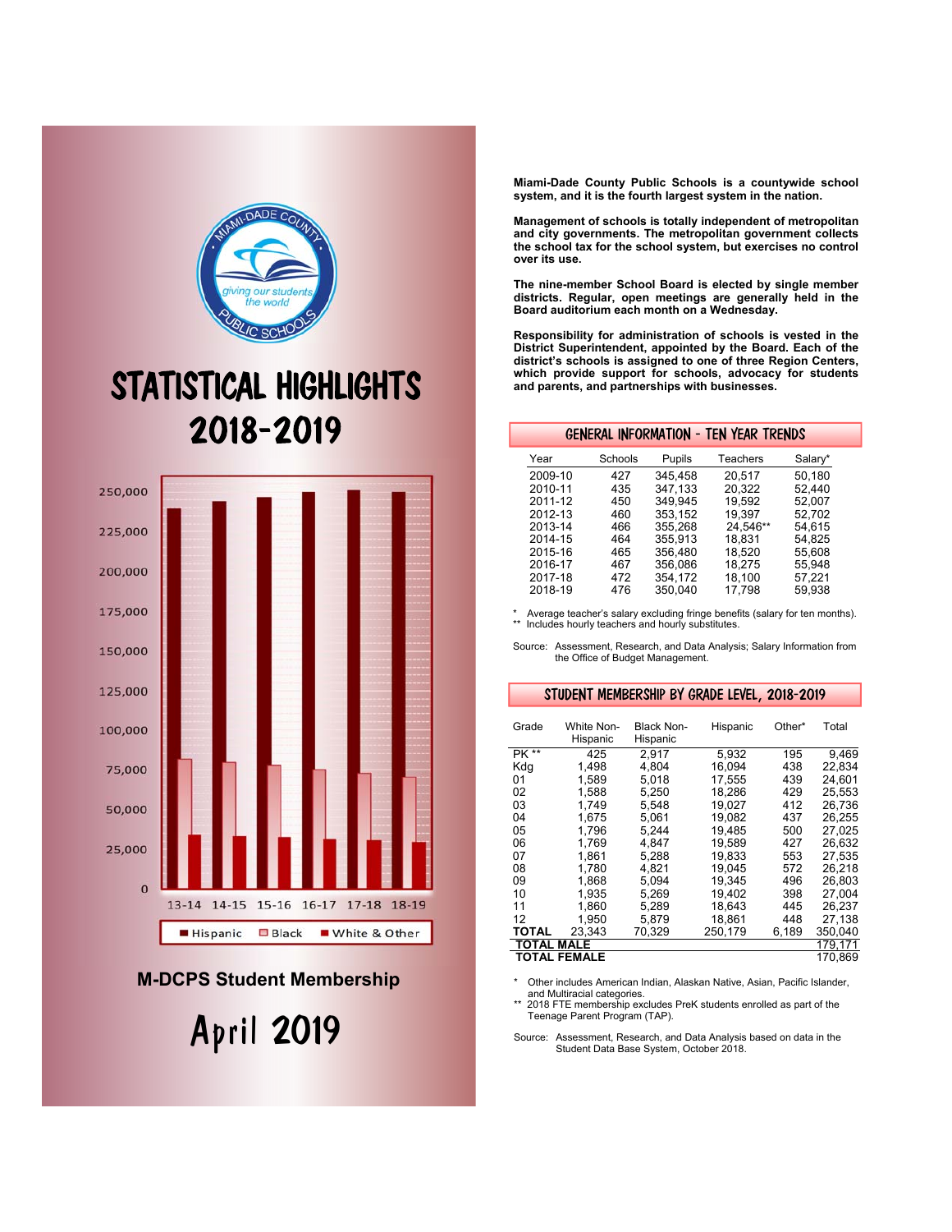

# STATISTICAL HIGHLIGHTS 2018-2019



## **M-DCPS Student Membership**

April 2019

**Miami-Dade County Public Schools is a countywide school system, and it is the fourth largest system in the nation.** 

**Management of schools is totally independent of metropolitan and city governments. The metropolitan government collects the school tax for the school system, but exercises no control over its use.** 

**The nine-member School Board is elected by single member districts. Regular, open meetings are generally held in the Board auditorium each month on a Wednesday.** 

**Responsibility for administration of schools is vested in the District Superintendent, appointed by the Board. Each of the district's schools is assigned to one of three Region Centers, which provide support for schools, advocacy for students and parents, and partnerships with businesses.** 

#### GENERAL INFORMATION - TEN YEAR TRENDS

| Year    | Schools | Pupils  | Teachers | Salary* |
|---------|---------|---------|----------|---------|
| 2009-10 | 427     | 345.458 | 20.517   | 50.180  |
| 2010-11 | 435     | 347.133 | 20.322   | 52.440  |
| 2011-12 | 450     | 349.945 | 19.592   | 52.007  |
| 2012-13 | 460     | 353.152 | 19.397   | 52.702  |
| 2013-14 | 466     | 355.268 | 24.546** | 54.615  |
| 2014-15 | 464     | 355.913 | 18.831   | 54.825  |
| 2015-16 | 465     | 356.480 | 18.520   | 55.608  |
| 2016-17 | 467     | 356.086 | 18.275   | 55.948  |
| 2017-18 | 472     | 354.172 | 18.100   | 57.221  |
| 2018-19 | 476     | 350.040 | 17,798   | 59.938  |

\* Average teacher's salary excluding fringe benefits (salary for ten months). \*\* Includes hourly teachers and hourly substitutes.

Source: Assessment, Research, and Data Analysis; Salary Information from the Office of Budget Management.

#### STUDENT MEMBERSHIP BY GRADE LEVEL, 2018-2019

| Grade             | White Non-<br>Hispanic | <b>Black Non-</b><br>Hispanic | Hispanic | Other* | Total   |
|-------------------|------------------------|-------------------------------|----------|--------|---------|
| PK **             | 425                    | 2,917                         | 5.932    | 195    | 9.469   |
| Kda               | 1.498                  | 4.804                         | 16.094   | 438    | 22.834  |
| 01                | 1.589                  | 5.018                         | 17.555   | 439    | 24.601  |
| 02                | 1,588                  | 5,250                         | 18,286   | 429    | 25,553  |
| 03                | 1.749                  | 5.548                         | 19.027   | 412    | 26,736  |
| 04                | 1.675                  | 5.061                         | 19.082   | 437    | 26,255  |
| 05                | 1.796                  | 5.244                         | 19.485   | 500    | 27.025  |
| 06                | 1.769                  | 4.847                         | 19,589   | 427    | 26,632  |
| 07                | 1.861                  | 5.288                         | 19,833   | 553    | 27.535  |
| 08                | 1.780                  | 4.821                         | 19.045   | 572    | 26.218  |
| 09                | 1.868                  | 5.094                         | 19.345   | 496    | 26.803  |
| 10                | 1.935                  | 5.269                         | 19.402   | 398    | 27.004  |
| 11                | 1,860                  | 5,289                         | 18,643   | 445    | 26,237  |
| 12                | 1,950                  | 5,879                         | 18,861   | 448    | 27,138  |
| TOTAL             | 23.343                 | 70,329                        | 250.179  | 6,189  | 350,040 |
| <b>TOTAL MALE</b> |                        |                               |          |        | 179,171 |
|                   | <b>TOTAL FEMALE</b>    |                               |          |        | 170.869 |

\* Other includes American Indian, Alaskan Native, Asian, Pacific Islander, and Multiracial categories.

2018 FTE membership excludes PreK students enrolled as part of the Teenage Parent Program (TAP).

Source: Assessment, Research, and Data Analysis based on data in the Student Data Base System, October 2018.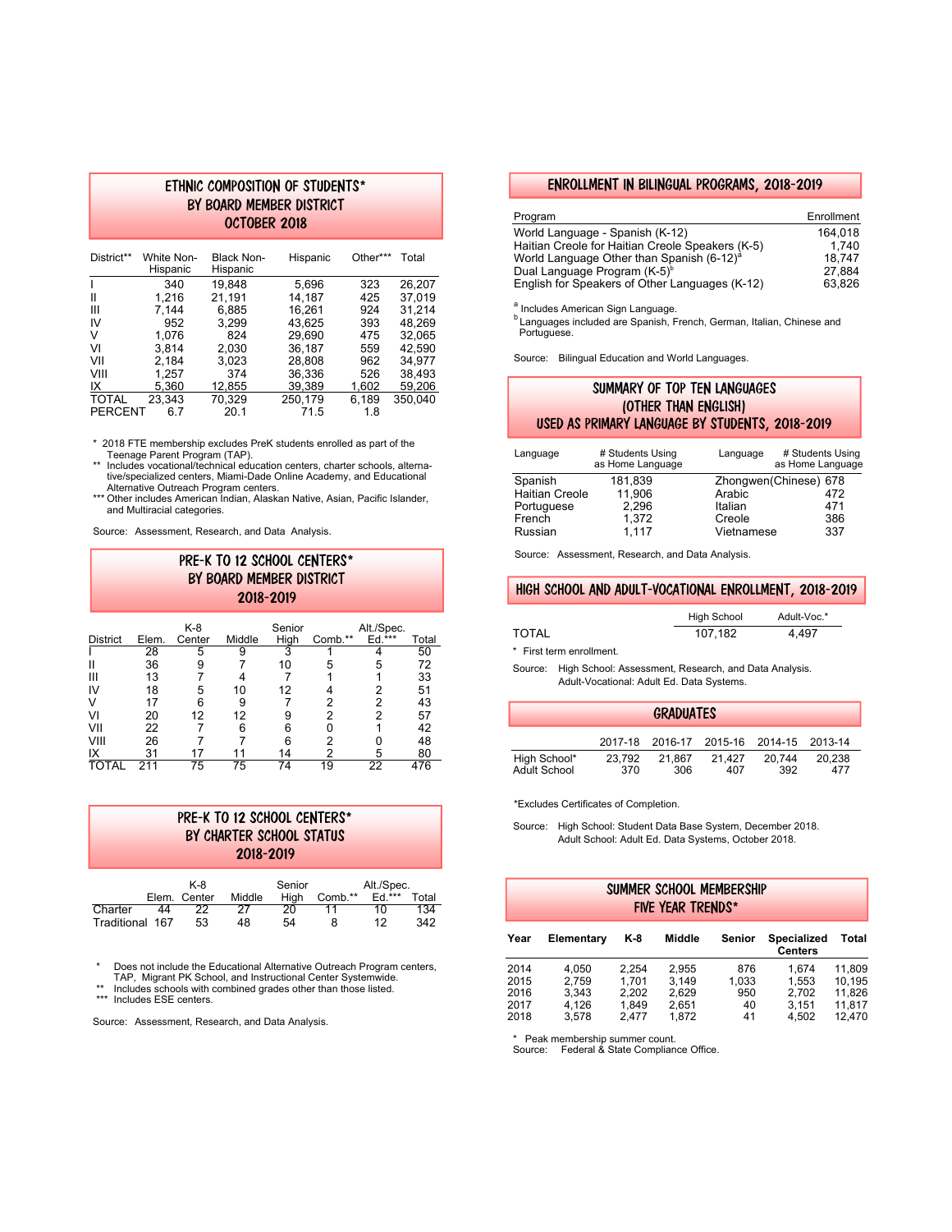#### ETHNIC COMPOSITION OF STUDENTS\* BY BOARD MEMBER DISTRICT OCTOBER 2018

| District**     | White Non-<br>Hispanic | Black Non-<br>Hispanic | Hispanic | Other*** | Total   |
|----------------|------------------------|------------------------|----------|----------|---------|
| ı              | 340                    | 19.848                 | 5,696    | 323      | 26.207  |
| Ш              | 1.216                  | 21.191                 | 14.187   | 425      | 37.019  |
| Ш              | 7.144                  | 6,885                  | 16.261   | 924      | 31.214  |
| IV             | 952                    | 3.299                  | 43.625   | 393      | 48.269  |
| V              | 1.076                  | 824                    | 29.690   | 475      | 32.065  |
| VI             | 3.814                  | 2.030                  | 36.187   | 559      | 42.590  |
| VII            | 2.184                  | 3.023                  | 28.808   | 962      | 34.977  |
| VIII           | 1.257                  | 374                    | 36.336   | 526      | 38.493  |
| IX             | 5.360                  | 12.855                 | 39.389   | 1.602    | 59.206  |
| <b>TOTAL</b>   | 23.343                 | 70.329                 | 250.179  | 6.189    | 350.040 |
| <b>PERCENT</b> | 67                     | 20.1                   | 71.5     | 1.8      |         |

\* 2018 FTE membership excludes PreK students enrolled as part of the

 Teenage Parent Program (TAP). \*\* Includes vocational/technical education centers, charter schools, alternative/specialized centers, Miami-Dade Online Academy, and Educational Alternative Outreach Program centers.

\*\*\* Other includes American Indian, Alaskan Native, Asian, Pacific Islander, and Multiracial categories.

Source: Assessment, Research, and Data Analysis.

### PRE-K TO 12 SCHOOL CENTERS\* BY BOARD MEMBER DISTRICT 2018-2019

|                 |       | K-8    |        | Senior |         | Alt./Spec. |       |
|-----------------|-------|--------|--------|--------|---------|------------|-------|
| <b>District</b> | Elem. | Center | Middle | High   | Comb.** | Ed.***     | Total |
|                 | 28    | 5      | 9      | 3      |         |            | 50    |
|                 | 36    | 9      |        | 10     | 5       | 5          | 72    |
| Ш               | 13    |        |        |        |         |            | 33    |
| IV              | 18    | 5      | 10     | 12     |         |            | 51    |
|                 | 17    | 6      | 9      |        | າ       | າ          | 43    |
|                 | 20    | 12     | 12     |        | っ       | ◠          | 57    |
| VII             | 22    |        | 6      | 6      |         |            | 42    |
| VIII            | 26    |        |        | հ      |         |            | 48    |
| IX              | 31    |        |        | 14     |         | 5          | 80    |
|                 | 211   | 75     | 75     | 74     | 19      | 22         | 476   |

| PRE-K TO 12 SCHOOL CENTERS*<br>BY CHARTER SCHOOL STATUS<br>2018-2019 |  |
|----------------------------------------------------------------------|--|
|                                                                      |  |

|                 |    | K-8          |        | Senior |         | Alt./Spec. |       |
|-----------------|----|--------------|--------|--------|---------|------------|-------|
|                 |    | Elem. Center | Middle | Hiah   | Comb.** | $Ed.***$   | Total |
| Charter         | 44 | 22           | 27     | 20     |         | 10         | 134   |
| Traditional 167 |    | 53           | 48     | 54     |         | 12         | 342   |

\* Does not include the Educational Alternative Outreach Program centers, TAP, Migrant PK School, and Instructional Center Systemwide.

Includes schools with combined grades other than those listed.

\*\*\* Includes ESE centers.

Source: Assessment, Research, and Data Analysis.

#### ENROLLMENT IN BILINGUAL PROGRAMS, 2018-2019

| Program                                               | Enrollment |
|-------------------------------------------------------|------------|
| World Language - Spanish (K-12)                       | 164.018    |
| Haitian Creole for Haitian Creole Speakers (K-5)      | 1.740      |
| World Language Other than Spanish (6-12) <sup>a</sup> | 18.747     |
| Dual Language Program (K-5) <sup>b</sup>              | 27.884     |
| English for Speakers of Other Languages (K-12)        | 63.826     |

a<br>Includes American Sign Language.

**b** Languages included are Spanish, French, German, Italian, Chinese and Portuguese.

Source: Bilingual Education and World Languages.

#### SUMMARY OF TOP TEN LANGUAGES (OTHER THAN ENGLISH) USED AS PRIMARY LANGUAGE BY STUDENTS, 2018-2019

| Language              | # Students Using<br>as Home Language | Language   | # Students Using<br>as Home Language |
|-----------------------|--------------------------------------|------------|--------------------------------------|
| Spanish               | 181.839                              |            | Zhongwen(Chinese) 678                |
| <b>Haitian Creole</b> | 11.906                               | Arabic     | 472                                  |
| Portuguese            | 2.296                                | Italian    | 471                                  |
| French                | 1.372                                | Creole     | 386                                  |
| Russian               | 1.117                                | Vietnamese | 337                                  |

Source: Assessment, Research, and Data Analysis.

#### HIGH SCHOOL AND ADULT-VOCATIONAL ENROLLMENT, 2018-2019

|       | <b>High School</b> | Adult-Voc.* |
|-------|--------------------|-------------|
| TOTAL | 107.182            | 4.497       |

\* First term enrollment.

Source: High School: Assessment, Research, and Data Analysis. Adult-Vocational: Adult Ed. Data Systems.

| <b>GRADUATES</b>    |        |        |                                         |        |        |  |  |
|---------------------|--------|--------|-----------------------------------------|--------|--------|--|--|
|                     |        |        | 2017-18 2016-17 2015-16 2014-15 2013-14 |        |        |  |  |
| High School*        | 23.792 | 21.867 | 21.427                                  | 20.744 | 20.238 |  |  |
| <b>Adult School</b> | 370    | 306    | 407                                     | 392    | 477    |  |  |

\*Excludes Certificates of Completion.

 Source: High School: Student Data Base System, December 2018. Adult School: Adult Ed. Data Systems, October 2018.

| SUMMER SCHOOL MEMBERSHIP<br>FIVE YEAR TRENDS* |                                           |                                           |                                           |                                 |                                           |                                                |
|-----------------------------------------------|-------------------------------------------|-------------------------------------------|-------------------------------------------|---------------------------------|-------------------------------------------|------------------------------------------------|
| Year                                          | Elementary                                | K-8                                       | Middle                                    | Senior                          | <b>Specialized</b><br><b>Centers</b>      | Total                                          |
| 2014<br>2015<br>2016<br>2017<br>2018          | 4.050<br>2.759<br>3.343<br>4.126<br>3.578 | 2.254<br>1.701<br>2.202<br>1.849<br>2.477 | 2.955<br>3.149<br>2.629<br>2,651<br>1.872 | 876<br>1.033<br>950<br>40<br>41 | 1.674<br>1.553<br>2.702<br>3.151<br>4.502 | 11.809<br>10.195<br>11.826<br>11,817<br>12.470 |

\* Peak membership summer count. Source: Federal & State Compliance Office.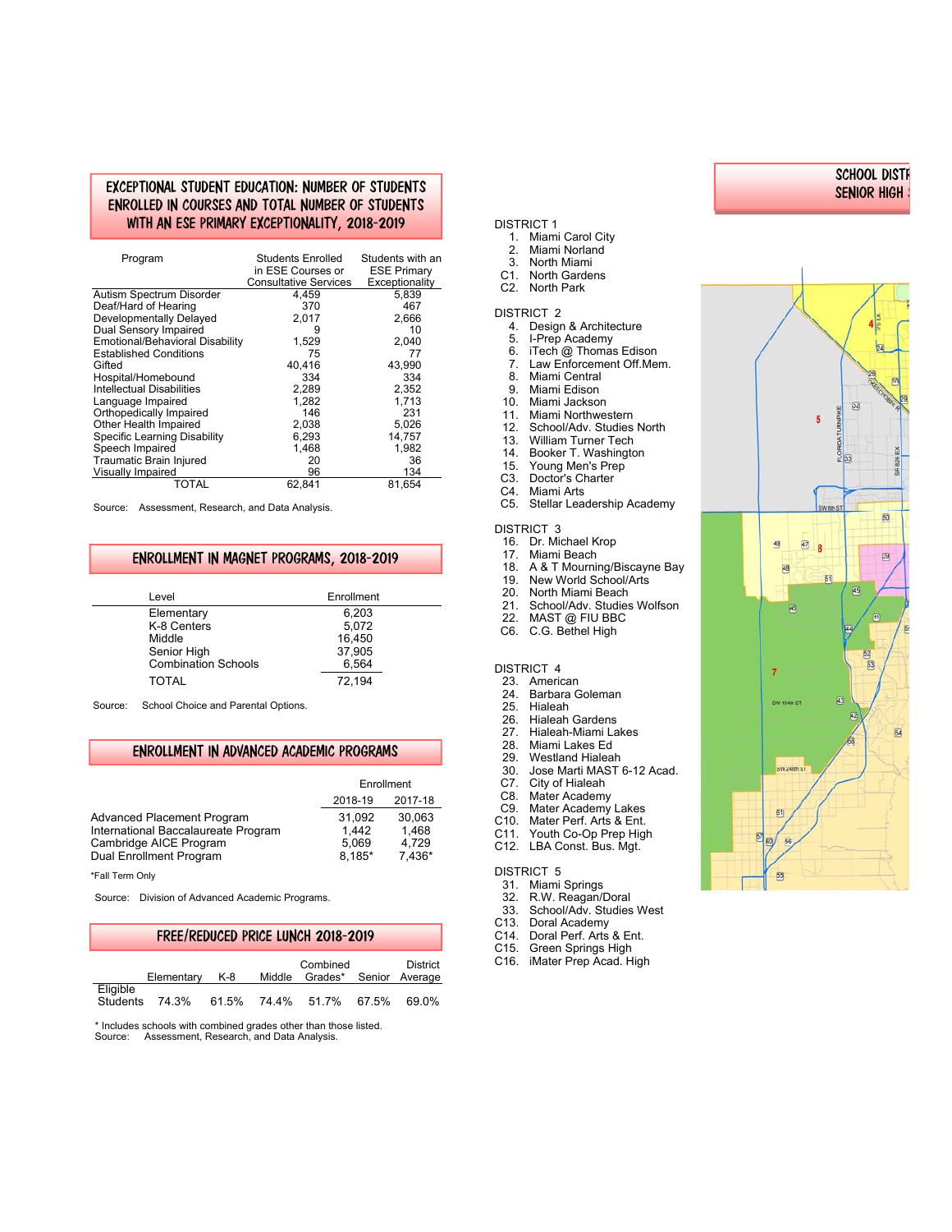#### EXCEPTIONAL STUDENT EDUCATION: NUMBER OF STUDENTS ENROLLED IN COURSES AND TOTAL NUMBER OF STUDENTS WITH AN ESE PRIMARY EXCEPTIONALITY, 2018-2019

| Program                          | Students Enrolled<br>in ESE Courses or<br><b>Consultative Services</b> | Students with an<br><b>ESE Primary</b><br>Exceptionality |
|----------------------------------|------------------------------------------------------------------------|----------------------------------------------------------|
| Autism Spectrum Disorder         | 4,459                                                                  | 5,839                                                    |
| Deaf/Hard of Hearing             | 370                                                                    | 467                                                      |
| Developmentally Delayed          | 2.017                                                                  | 2.666                                                    |
| Dual Sensory Impaired            | 9                                                                      | 10                                                       |
| Emotional/Behavioral Disability  | 1,529                                                                  | 2,040                                                    |
| <b>Established Conditions</b>    | 75                                                                     | 77                                                       |
| Gifted                           | 40,416                                                                 | 43,990                                                   |
| Hospital/Homebound               | 334                                                                    | 334                                                      |
| <b>Intellectual Disabilities</b> | 2.289                                                                  | 2,352                                                    |
| Language Impaired                | 1,282                                                                  | 1,713                                                    |
| Orthopedically Impaired          | 146                                                                    | 231                                                      |
| Other Health Impaired            | 2,038                                                                  | 5.026                                                    |
| Specific Learning Disability     | 6,293                                                                  | 14,757                                                   |
| Speech Impaired                  | 1.468                                                                  | 1,982                                                    |
| Traumatic Brain Injured          | 20                                                                     | 36                                                       |
| <b>Visually Impaired</b>         | 96                                                                     | 134                                                      |
| TOTAL                            | 62,841                                                                 | 81,654                                                   |

Source: Assessment, Research, and Data Analysis.

#### ENROLLMENT IN MAGNET PROGRAMS, 2018-2019

| Level                      | Enrollment      |
|----------------------------|-----------------|
| Elementary                 | 6,203           |
| K-8 Centers<br>Middle      | 5,072<br>16,450 |
| Senior High                | 37,905          |
| <b>Combination Schools</b> | 6,564           |
| TOTAL                      | 72,194          |

Source: School Choice and Parental Options.

#### ENROLLMENT IN ADVANCED ACADEMIC PROGRAMS

|                                     | Enrollment         |        |  |
|-------------------------------------|--------------------|--------|--|
|                                     | 2017-18<br>2018-19 |        |  |
| <b>Advanced Placement Program</b>   | 31.092             | 30.063 |  |
| International Baccalaureate Program | 1.442              | 1.468  |  |
| Cambridge AICE Program              | 5.069              | 4.729  |  |
| Dual Enrollment Program             | $8.185*$           | 7.436* |  |

\*Fall Term Only

Source: Division of Advanced Academic Programs.

#### FREE/REDUCED PRICE LUNCH 2018-2019

|                             | Elementary | K-8 | Combined<br>Middle Grades* Senior Average | District |
|-----------------------------|------------|-----|-------------------------------------------|----------|
| Eligible<br><b>Students</b> | 74.3%      |     | 61.5% 74.4% 51.7% 67.5%                   | 69.0%    |

\* Includes schools with combined grades other than those listed. Source: Assessment, Research, and Data Analysis.

#### DISTRICT 1

- 1. Miami Carol City
- 2. Miami Norland<br>3. North Miami
- 3. North Miami
- C1. North Gardens
- C2. North Park

#### DISTRICT 2

- 4. Design & Architecture
- 5. I-Prep Academy
- 6. iTech @ Thomas Edison
- 7. Law Enforcement Off.Mem.
- Miami Central
- 9. Miami Edison<br>10. Miami Jacksor
- 10. Miami Jackson<br>11. Miami Northwe
- 
- 11. Miami Northwestern<br>12. School/Adv. Studies 12. School/Adv. Studies North<br>13. William Turner Tech
- William Turner Tech
- 14. Booker T. Washington
- 15. Young Men's Prep
- C3. Doctor's Charter
- C4. Miami Arts<br>C5. Stellar Lea
- Stellar Leadership Academy

#### DISTRICT 3

- 16. Dr. Michael Krop
- 17. Miami Beach
- 18. A & T Mourning/Biscayne Bay
- 19. New World School/Arts
- 20. North Miami Beach<br>21. School/Adv. Studies
- 21. School/Adv. Studies Wolfson<br>22. MAST @ FILLBRC
- 22. MAST @ FIU BBC<br>C6 CG Bethel High
- C.G. Bethel High

#### DISTRICT 4

- 23. American<br>24. Barbara G
- 24. Barbara Goleman<br>25. Hialeah
- 25. Hialeah<br>26. Hialeah
- 26. Hialeah Gardens<br>27. Hialeah-Miami La
- 27. Hialeah-Miami Lakes<br>28. Miami Lakes Ed
- 28. Miami Lakes Ed
- 29. Westland Hialeah<br>30. Jose Marti MAST
- Jose Marti MAST 6-12 Acad.
- C7. City of Hialeah<br>C8. Mater Academ
- Mater Academy
- C9. Mater Academy Lakes<br>C10. Mater Perf. Arts & Ent.
- C10. Mater Perf. Arts & Ent.<br>C11. Youth Co-Op Prep High
- Youth Co-Op Prep High C12. LBA Const. Bus. Mgt.

#### DISTRICT 5

- 31. Miami Springs
- 32. R.W. Reagan/Doral
- 33. School/Adv. Studies West
- C13. Doral Academy
- C14. Doral Perf. Arts & Ent.
- C15. Green Springs High
- C16. iMater Prep Acad. High



SCHOOL DIST R SENIOR HIGH

S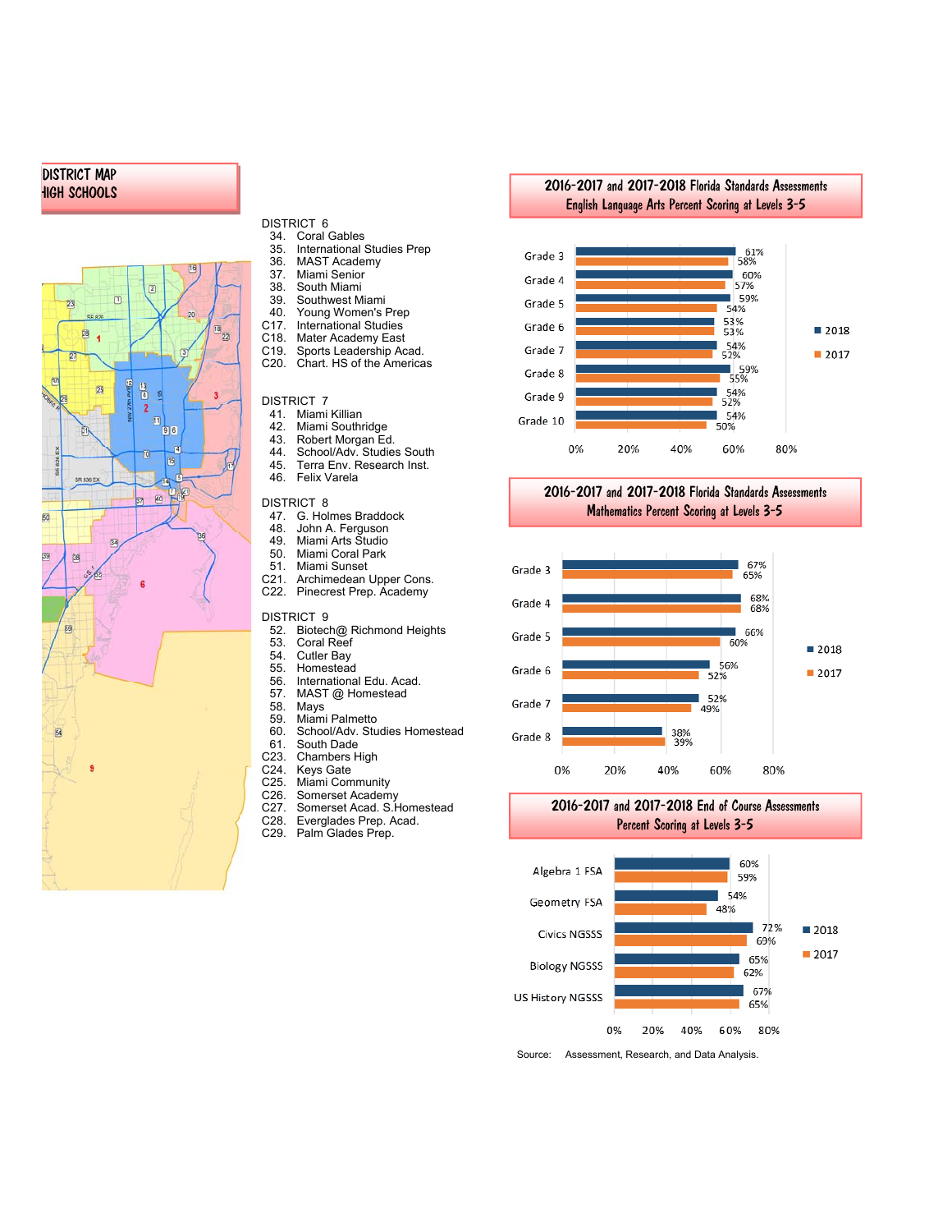#### DISTRICT MAP HIGH SCHOOLS



- DISTRICT 6<br>34 Coral
- 34. Coral Gables<br>35. International 35. International Studies Prep
- 36. MAST Academy
- 37. Miami Senior
- 38. South Miami
- 39. Southwest Miami
- 40. Young Women's Prep<br>C17. International Studies
- C17. International Studies<br>C18. Mater Academy East
- C18. Mater Academy East<br>C19 Sports Leadership Ac
- C19. Sports Leadership Acad.<br>C20. Chart. HS of the America Chart. HS of the Americas

- DISTRICT 7<br>41. Miami
- 41. Miami Killian<br>42. Miami Southr 42. Miami Southridge<br>43. Robert Morgan Ed
- 
- 43. Robert Morgan Ed.<br>44. School/Adv. Studies
- 44. School/Adv. Studies South<br>45. Terra Env. Research Inst. 45. Terra Env. Research Inst.
- Felix Varela

#### DISTRICT 8

- 47. G. Holmes Braddock<br>48. John A. Ferguson
- 48. John A. Ferguson
- 49. Miami Arts Studio
- 50. Miami Coral Park
- 51. Miami Sunset<br>C21. Archimedean
- C21. Archimedean Upper Cons.<br>C22. Pinecrest Prep. Academy Pinecrest Prep. Academy

#### DISTRICT 9

- 52. Biotech@ Richmond Heights
- 53. Coral Reef<br>54 Cutler Bay
- 54. Cutler Bay
- 55. Homestead<br>56. Internationa
- 56. International Edu. Acad.<br>57. MAST @ Homestead 57. MAST @ Homestead<br>58. Mays
- 
- 58. Mays
- 59. Miami Palmetto<br>60. School/Adv. Stu School/Adv. Studies Homestead
- 
- 61. South Dade<br>C23. Chambers H
- C23. Chambers High<br>C24. Kevs Gate
- C<sub>24</sub>. Keys Gate<br>C<sub>25</sub>. Miami Com
- C25. Miami Community<br>C26. Somerset Academ
- C26. Somerset Academy<br>C27. Somerset Acad. S.H C27. Somerset Acad. S.Homestead<br>C28. Everglades Prep. Acad.
- C28. Everglades Prep. Acad.<br>C29. Palm Glades Prep.
- Palm Glades Prep.







#### 2016-2017 and 2017-2018 Florida Standards Assessments Mathematics Percent Scoring at Levels 3-5



2016-2017 and 2017-2018 End of Course Assessments Percent Scoring at Levels 3-5



Source: Assessment, Research, and Data Analysis.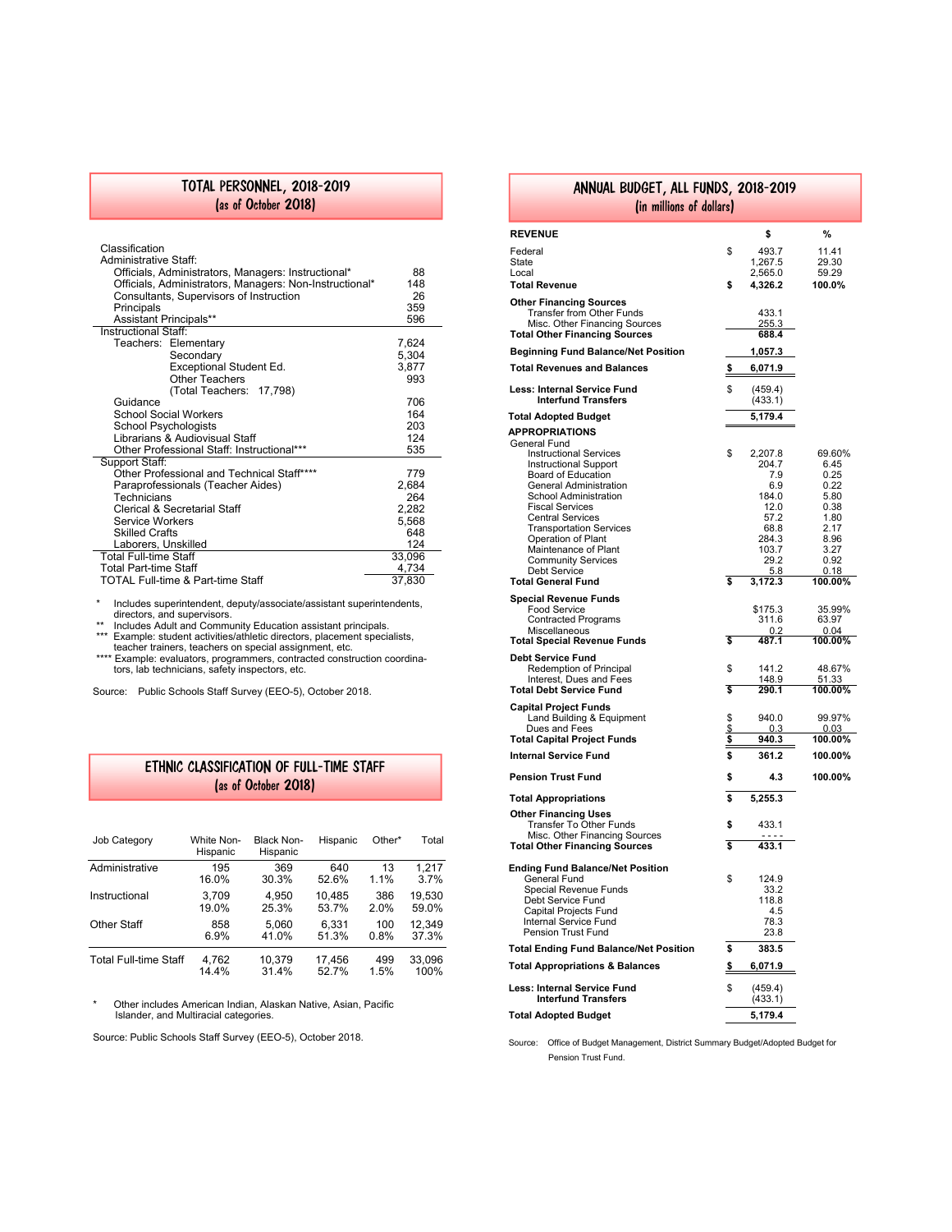#### TOTAL PERSONNEL, 2018-2019 (as of October 2018)

| Classification<br>Administrative Staff:<br>Officials, Administrators, Managers: Instructional*<br>Officials, Administrators, Managers: Non-Instructional*<br>Consultants, Supervisors of Instruction<br>Principals<br><b>Assistant Principals**</b> | 88<br>148<br>26<br>359<br>596 |
|-----------------------------------------------------------------------------------------------------------------------------------------------------------------------------------------------------------------------------------------------------|-------------------------------|
| Instructional Staff                                                                                                                                                                                                                                 |                               |
| Teachers: Elementary                                                                                                                                                                                                                                | 7,624                         |
| Secondary                                                                                                                                                                                                                                           | 5,304                         |
| Exceptional Student Ed.                                                                                                                                                                                                                             | 3,877                         |
| Other Teachers                                                                                                                                                                                                                                      | 993                           |
| (Total Teachers: 17,798)                                                                                                                                                                                                                            |                               |
| Guidance                                                                                                                                                                                                                                            | 706                           |
| <b>School Social Workers</b>                                                                                                                                                                                                                        | 164                           |
| School Psychologists                                                                                                                                                                                                                                | 203                           |
| Librarians & Audiovisual Staff                                                                                                                                                                                                                      | 124                           |
| Other Professional Staff: Instructional***                                                                                                                                                                                                          | 535                           |
| Support Staff:                                                                                                                                                                                                                                      |                               |
| Other Professional and Technical Staff****                                                                                                                                                                                                          | 779                           |
| Paraprofessionals (Teacher Aides)                                                                                                                                                                                                                   | 2,684                         |
| Technicians                                                                                                                                                                                                                                         | 264                           |
| Clerical & Secretarial Staff                                                                                                                                                                                                                        | 2,282                         |
| <b>Service Workers</b>                                                                                                                                                                                                                              | 5,568                         |
| <b>Skilled Crafts</b>                                                                                                                                                                                                                               | 648                           |
| Laborers, Unskilled                                                                                                                                                                                                                                 | 124                           |
| <b>Total Full-time Staff</b>                                                                                                                                                                                                                        | 33,096                        |
| <b>Total Part-time Staff</b>                                                                                                                                                                                                                        | 4.734                         |
| TOTAL Full-time & Part-time Staff                                                                                                                                                                                                                   | 37,830                        |

\* Includes superintendent, deputy/associate/assistant superintendents,

directors, and supervisors. \*\* Includes Adult and Community Education assistant principals.

\*\*\* Example: student activities/athletic directors, placement specialists, teacher trainers, teachers on special assignment, etc.

\*\*\*\* Example: evaluators, programmers, contracted construction coordina-tors, lab technicians, safety inspectors, etc.

Source: Public Schools Staff Survey (EEO-5), October 2018.

### ETHNIC CLASSIFICATION OF FULL-TIME STAFF (as of October 2018)

| Job Category                 | White Non-<br>Hispanic | Black Non-<br>Hispanic | Hispanic | Other* | Total  |
|------------------------------|------------------------|------------------------|----------|--------|--------|
| Administrative               | 195                    | 369                    | 640      | 13     | 1.217  |
|                              | 16.0%                  | 30.3%                  | 52.6%    | 1.1%   | 3.7%   |
| Instructional                | 3.709                  | 4.950                  | 10.485   | 386    | 19.530 |
|                              | 19.0%                  | 25.3%                  | 53.7%    | 2.0%   | 59.0%  |
| Other Staff                  | 858                    | 5.060                  | 6.331    | 100    | 12.349 |
|                              | 6.9%                   | 41.0%                  | 51.3%    | 0.8%   | 37.3%  |
| <b>Total Full-time Staff</b> | 4.762                  | 10.379                 | 17,456   | 499    | 33,096 |
|                              | 14.4%                  | 31.4%                  | 52.7%    | 1.5%   | 100%   |

\* Other includes American Indian, Alaskan Native, Asian, Pacific Islander, and Multiracial categories.

Source: Public Schools Staff Survey (EEO-5), October 2018.

| ANNUAL BUDGET, ALL FUNDS, 2018-2019                                   |           |                    |                 |  |  |
|-----------------------------------------------------------------------|-----------|--------------------|-----------------|--|--|
| (in millions of dollars)                                              |           |                    |                 |  |  |
| <b>REVENUE</b>                                                        |           | \$                 | %               |  |  |
| Federal                                                               | \$        | 493.7              | 11.41           |  |  |
| State                                                                 |           | 1,267.5            | 29.30           |  |  |
| Local                                                                 |           | 2,565.0            | 59.29           |  |  |
| <b>Total Revenue</b>                                                  | \$        | 4,326.2            | 100.0%          |  |  |
| <b>Other Financing Sources</b><br>Transfer from Other Funds           |           | 433.1              |                 |  |  |
| Misc. Other Financing Sources                                         |           | 255.3              |                 |  |  |
| Total Other Financing Sources                                         |           | 688.4              |                 |  |  |
| <b>Beginning Fund Balance/Net Position</b>                            |           | <u>1,057.3</u>     |                 |  |  |
| <b>Total Revenues and Balances</b>                                    | \$        | 6,071.9            |                 |  |  |
| <b>Less: Internal Service Fund</b><br><b>Interfund Transfers</b>      | \$        | (459.4)<br>(433.1) |                 |  |  |
| Total Adopted Budget                                                  |           | 5,179.4            |                 |  |  |
| APPROPRIATIONS                                                        |           |                    |                 |  |  |
| General Fund                                                          |           |                    |                 |  |  |
| <b>Instructional Services</b><br><b>Instructional Support</b>         | \$        | 2,207.8<br>204.7   | 69.60%<br>6.45  |  |  |
| Board of Education                                                    |           | 7.9                | 0.25            |  |  |
| General Administration<br><b>School Administration</b>                |           | 6.9<br>184.0       | 0.22<br>5.80    |  |  |
| <b>Fiscal Services</b>                                                |           | 12.0               | 0.38            |  |  |
| <b>Central Services</b><br><b>Transportation Services</b>             |           | 57.2               | 1.80<br>2.17    |  |  |
| <b>Operation of Plant</b>                                             |           | 68.8<br>284.3      | 8.96            |  |  |
| Maintenance of Plant                                                  |           | 103.7              | 3.27            |  |  |
| <b>Community Services</b><br><b>Debt Service</b>                      |           | 29.2<br>5.8        | 0.92<br>0.18    |  |  |
| <b>Total General Fund</b>                                             | \$        | 3,172.3            | 100.00%         |  |  |
| <b>Special Revenue Funds</b>                                          |           |                    |                 |  |  |
| <b>Food Service</b><br><b>Contracted Programs</b>                     |           | \$175.3<br>311.6   | 35.99%<br>63.97 |  |  |
| Miscellaneous                                                         |           | 0.2                | 0.04            |  |  |
| <b>Total Special Revenue Funds</b>                                    | \$        | 487.1              | 100.00%         |  |  |
| Debt Service Fund<br>Redemption of Principal                          | \$        | 141.2              | 48.67%          |  |  |
| Interest, Dues and Fees                                               |           | 148.9              | 51.33           |  |  |
| <b>Total Debt Service Fund</b>                                        | \$        | 290.1              | 100.00%         |  |  |
| Capital Project Funds<br>Land Building & Equipment                    | \$        | 940.0              | 99.97%          |  |  |
| Dues and Fees                                                         | \$        | 0.3                | 0.03            |  |  |
| <b>Total Capital Project Funds</b>                                    | \$        | 940.3              | 100.00%         |  |  |
| <b>Internal Service Fund</b>                                          | \$        | 361.2              | 100.00%         |  |  |
| <b>Pension Trust Fund</b>                                             | \$        | 4.3                | 100.00%         |  |  |
| <b>Total Appropriations</b>                                           | \$        | 5,255.3            |                 |  |  |
| <b>Other Financing Uses</b><br>Transfer To Other Funds                | \$        | 433.1              |                 |  |  |
| Misc. Other Financing Sources<br><b>Total Other Financing Sources</b> | \$        | .<br>433.1         |                 |  |  |
| Ending Fund Balance/Net Position                                      |           |                    |                 |  |  |
| General Fund                                                          | \$        | 124.9              |                 |  |  |
| Special Revenue Funds<br>Debt Service Fund                            |           | 33.2<br>118.8      |                 |  |  |
| Capital Projects Fund                                                 |           | 4.5                |                 |  |  |
| Internal Service Fund<br>Pension Trust Fund                           |           | 78.3<br>23.8       |                 |  |  |
| <b>Total Ending Fund Balance/Net Position</b>                         | \$        | 383.5              |                 |  |  |
| <b>Total Appropriations &amp; Balances</b>                            | <u>\$</u> | 6,071.9            |                 |  |  |
| Less: Internal Service Fund                                           | \$        | (459.4)            |                 |  |  |
| <b>Interfund Transfers</b>                                            |           | (433.1)            |                 |  |  |
| <b>Total Adopted Budget</b>                                           |           | 5,179.4            |                 |  |  |

Source: Office of Budget Management, District Summary Budget/Adopted Budget for Pension Trust Fund.